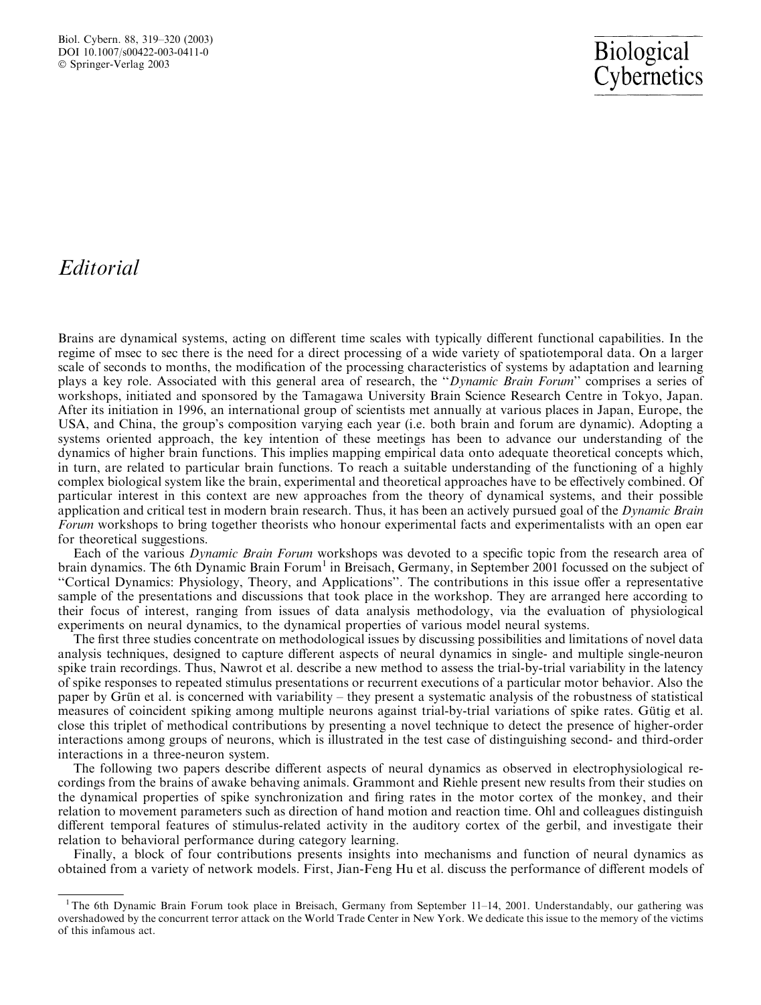## Editorial

Brains are dynamical systems, acting on different time scales with typically different functional capabilities. In the regime of msec to sec there is the need for a direct processing of a wide variety of spatiotemporal data. On a larger scale of seconds to months, the modification of the processing characteristics of systems by adaptation and learning plays a key role. Associated with this general area of research, the ''Dynamic Brain Forum'' comprises a series of workshops, initiated and sponsored by the Tamagawa University Brain Science Research Centre in Tokyo, Japan. After its initiation in 1996, an international group of scientists met annually at various places in Japan, Europe, the USA, and China, the group's composition varying each year (i.e. both brain and forum are dynamic). Adopting a systems oriented approach, the key intention of these meetings has been to advance our understanding of the dynamics of higher brain functions. This implies mapping empirical data onto adequate theoretical concepts which, in turn, are related to particular brain functions. To reach a suitable understanding of the functioning of a highly complex biological system like the brain, experimental and theoretical approaches have to be effectively combined. Of particular interest in this context are new approaches from the theory of dynamical systems, and their possible application and critical test in modern brain research. Thus, it has been an actively pursued goal of the *Dynamic Brain* Forum workshops to bring together theorists who honour experimental facts and experimentalists with an open ear for theoretical suggestions.

Each of the various Dynamic Brain Forum workshops was devoted to a specific topic from the research area of brain dynamics. The 6th Dynamic Brain Forum<sup>1</sup> in Breisach, Germany, in September 2001 focussed on the subject of ''Cortical Dynamics: Physiology, Theory, and Applications''. The contributions in this issue offer a representative sample of the presentations and discussions that took place in the workshop. They are arranged here according to their focus of interest, ranging from issues of data analysis methodology, via the evaluation of physiological experiments on neural dynamics, to the dynamical properties of various model neural systems.

The first three studies concentrate on methodological issues by discussing possibilities and limitations of novel data analysis techniques, designed to capture different aspects of neural dynamics in single- and multiple single-neuron spike train recordings. Thus, Nawrot et al. describe a new method to assess the trial-by-trial variability in the latency of spike responses to repeated stimulus presentations or recurrent executions of a particular motor behavior. Also the paper by Grün et al. is concerned with variability – they present a systematic analysis of the robustness of statistical measures of coincident spiking among multiple neurons against trial-by-trial variations of spike rates. Gütig et al. close this triplet of methodical contributions by presenting a novel technique to detect the presence of higher-order interactions among groups of neurons, which is illustrated in the test case of distinguishing second- and third-order interactions in a three-neuron system.

The following two papers describe different aspects of neural dynamics as observed in electrophysiological recordings from the brains of awake behaving animals. Grammont and Riehle present new results from their studies on the dynamical properties of spike synchronization and firing rates in the motor cortex of the monkey, and their relation to movement parameters such as direction of hand motion and reaction time. Ohl and colleagues distinguish different temporal features of stimulus-related activity in the auditory cortex of the gerbil, and investigate their relation to behavioral performance during category learning.

Finally, a block of four contributions presents insights into mechanisms and function of neural dynamics as obtained from a variety of network models. First, Jian-Feng Hu et al. discuss the performance of different models of

<sup>&</sup>lt;sup>1</sup>The 6th Dynamic Brain Forum took place in Breisach, Germany from September 11–14, 2001. Understandably, our gathering was overshadowed by the concurrent terror attack on the World Trade Center in New York. We dedicate this issue to the memory of the victims of this infamous act.